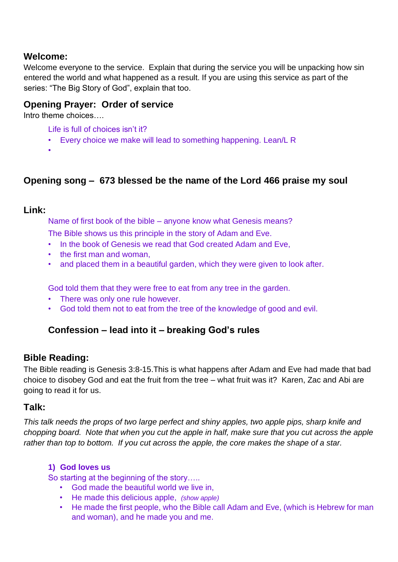## **Welcome:**

Welcome everyone to the service. Explain that during the service you will be unpacking how sin entered the world and what happened as a result. If you are using this service as part of the series: "The Big Story of God", explain that too.

### **Opening Prayer: Order of service**

Intro theme choices….

Life is full of choices isn't it?

• Every choice we make will lead to something happening. Lean/L R

•

# **Opening song – 673 blessed be the name of the Lord 466 praise my soul**

### **Link:**

Name of first book of the bible – anyone know what Genesis means?

The Bible shows us this principle in the story of Adam and Eve.

- In the book of Genesis we read that God created Adam and Eve,
- the first man and woman,
- and placed them in a beautiful garden, which they were given to look after.

God told them that they were free to eat from any tree in the garden.

- There was only one rule however.
- God told them not to eat from the tree of the knowledge of good and evil.

# **Confession – lead into it – breaking God's rules**

## **Bible Reading:**

The Bible reading is Genesis 3:8-15.This is what happens after Adam and Eve had made that bad choice to disobey God and eat the fruit from the tree – what fruit was it? Karen, Zac and Abi are going to read it for us.

## **Talk:**

*This talk needs the props of two large perfect and shiny apples, two apple pips, sharp knife and chopping board. Note that when you cut the apple in half, make sure that you cut across the apple rather than top to bottom. If you cut across the apple, the core makes the shape of a star.* 

### **1) God loves us**

So starting at the beginning of the story…..

- God made the beautiful world we live in,
- He made this delicious apple, *(show apple)*
- He made the first people, who the Bible call Adam and Eve, (which is Hebrew for man and woman), and he made you and me.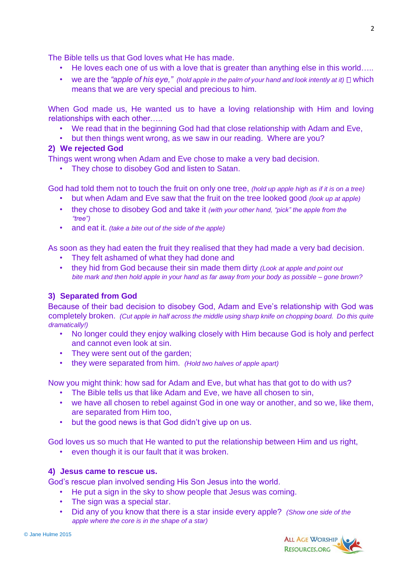The Bible tells us that God loves what He has made.

- He loves each one of us with a love that is greater than anything else in this world.....
- we are the "apple of his eye," (hold apple in the palm of your hand and look intently at it)  $\Box$  which means that we are very special and precious to him.

When God made us, He wanted us to have a loving relationship with Him and loving relationships with each other…..

- We read that in the beginning God had that close relationship with Adam and Eve,
- but then things went wrong, as we saw in our reading. Where are you?

#### **2) We rejected God**

Things went wrong when Adam and Eve chose to make a very bad decision.

• They chose to disobey God and listen to Satan.

God had told them not to touch the fruit on only one tree, *(hold up apple high as if it is on a tree)*

- but when Adam and Eve saw that the fruit on the tree looked good *(look up at apple)*
- they chose to disobey God and take it *(with your other hand, "pick" the apple from the "tree")*
- and eat it. *(take a bite out of the side of the apple)*

As soon as they had eaten the fruit they realised that they had made a very bad decision.

- They felt ashamed of what they had done and
- they hid from God because their sin made them dirty *(Look at apple and point out bite mark and then hold apple in your hand as far away from your body as possible – gone brown?*

#### **3) Separated from God**

Because of their bad decision to disobey God, Adam and Eve's relationship with God was completely broken. *(Cut apple in half across the middle using sharp knife on chopping board. Do this quite dramatically!)* 

- No longer could they enjoy walking closely with Him because God is holy and perfect and cannot even look at sin.
- They were sent out of the garden;
- they were separated from him. *(Hold two halves of apple apart)*

Now you might think: how sad for Adam and Eve, but what has that got to do with us?

- The Bible tells us that like Adam and Eve, we have all chosen to sin,
- we have all chosen to rebel against God in one way or another, and so we, like them, are separated from Him too,
- but the good news is that God didn't give up on us.

God loves us so much that He wanted to put the relationship between Him and us right,

• even though it is our fault that it was broken.

#### **4) Jesus came to rescue us.**

God's rescue plan involved sending His Son Jesus into the world.

- He put a sign in the sky to show people that Jesus was coming.
- The sign was a special star.
- Did any of you know that there is a star inside every apple? *(Show one side of the apple where the core is in the shape of a star)*

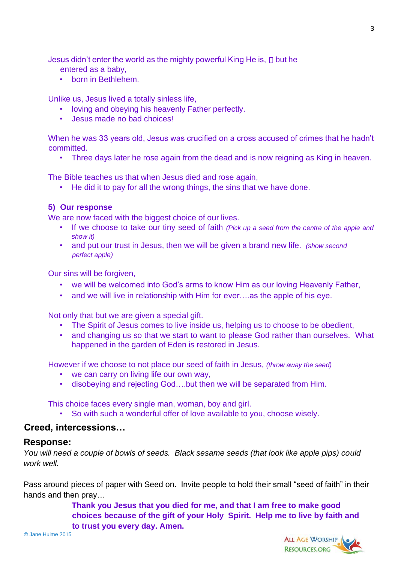Jesus didn't enter the world as the mighty powerful King He is,  $\Box$  but he

- entered as a baby,
- born in Bethlehem.

Unlike us, Jesus lived a totally sinless life,

- loving and obeying his heavenly Father perfectly.
- Jesus made no bad choices!

When he was 33 years old, Jesus was crucified on a cross accused of crimes that he hadn't committed.

• Three days later he rose again from the dead and is now reigning as King in heaven.

The Bible teaches us that when Jesus died and rose again,

• He did it to pay for all the wrong things, the sins that we have done.

### **5) Our response**

We are now faced with the biggest choice of our lives.

- If we choose to take our tiny seed of faith *(Pick up a seed from the centre of the apple and show it)*
- and put our trust in Jesus, then we will be given a brand new life. *(show second perfect apple)*

Our sins will be forgiven,

- we will be welcomed into God's arms to know Him as our loving Heavenly Father,
- and we will live in relationship with Him for ever...as the apple of his eye.

Not only that but we are given a special gift.

- The Spirit of Jesus comes to live inside us, helping us to choose to be obedient,
- and changing us so that we start to want to please God rather than ourselves. What happened in the garden of Eden is restored in Jesus.

However if we choose to not place our seed of faith in Jesus, *(throw away the seed)* 

- we can carry on living life our own way,
- disobeying and rejecting God….but then we will be separated from Him.

This choice faces every single man, woman, boy and girl.

• So with such a wonderful offer of love available to you, choose wisely.

## **Creed, intercessions…**

## **Response:**

*You will need a couple of bowls of seeds. Black sesame seeds (that look like apple pips) could work well.* 

Pass around pieces of paper with Seed on. Invite people to hold their small "seed of faith" in their hands and then pray…

> **Thank you Jesus that you died for me, and that I am free to make good choices because of the gift of your Holy Spirit. Help me to live by faith and to trust you every day. Amen.**